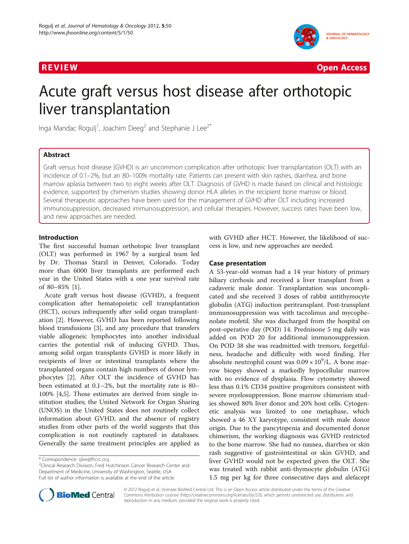



# Acute graft versus host disease after orthotopic liver transplantation

Inga Mandac Rogulj<sup>1</sup>, Joachim Deeg<sup>2</sup> and Stephanie J Lee<sup>2\*</sup>

# Abstract

Graft versus host disease (GVHD) is an uncommon complication after orthotopic liver transplantation (OLT) with an incidence of 0.1–2%, but an 80–100% mortality rate. Patients can present with skin rashes, diarrhea, and bone marrow aplasia between two to eight weeks after OLT. Diagnosis of GVHD is made based on clinical and histologic evidence, supported by chimerism studies showing donor HLA alleles in the recipient bone marrow or blood. Several therapeutic approaches have been used for the management of GVHD after OLT including increased immunosuppression, decreased immunosuppression, and cellular therapies. However, success rates have been low, and new approaches are needed.

# Introduction

The first successful human orthotopic liver transplant (OLT) was performed in 1967 by a surgical team led by Dr. Thomas Starzl in Denver, Colorado. Today more than 6000 liver transplants are performed each year in the United States with a one year survival rate of 80–85% [\[1](#page-4-0)].

Acute graft versus host disease (GVHD), a frequent complication after hematopoietic cell transplantation (HCT), occurs infrequently after solid organ transplantation [\[2](#page-4-0)]. However, GVHD has been reported following blood transfusions [[3\]](#page-4-0), and any procedure that transfers viable allogeneic lymphocytes into another individual carries the potential risk of inducing GVHD. Thus, among solid organ transplants GVHD is more likely in recipients of liver or intestinal transplants where the transplanted organs contain high numbers of donor lymphocytes [[2\]](#page-4-0). After OLT the incidence of GVHD has been estimated at 0.1–2%, but the mortality rate is 80– 100% [\[4,5](#page-4-0)]. Those estimates are derived from single institution studies; the United Network for Organ Sharing (UNOS) in the United States does not routinely collect information about GVHD, and the absence of registry studies from other parts of the world suggests that this complication is not routinely captured in databases. Generally the same treatment principles are applied as

<sup>2</sup>Clinical Research Division, Fred Hutchinson Cancer Research Center and Department of Medicine, University of Washington, Seattle, USA Full list of author information is available at the end of the article

with GVHD after HCT. However, the likelihood of success is low, and new approaches are needed.

## Case presentation

A 53-year-old woman had a 14 year history of primary biliary cirrhosis and received a liver transplant from a cadaveric male donor. Transplantation was uncomplicated and she received 3 doses of rabbit antithymocyte globulin (ATG) induction peritransplant. Post-transplant immunosuppression was with tacrolimus and mycophenolate mofetil. She was discharged from the hospital on post-operative day (POD) 14. Prednisone 5 mg daily was added on POD 20 for additional immunosuppression. On POD 38 she was readmitted with tremors, forgetfulness, headache and difficulty with word finding. Her absolute neutrophil count was  $0.09 \times 10^9$ /L. A bone marrow biopsy showed a markedly hypocellular marrow with no evidence of dysplasia. Flow cytometry showed less than 0.1% CD34 positive progenitors consistent with severe myelosuppression. Bone marrow chimerism studies showed 80% liver donor and 20% host cells. Cytogenetic analysis was limited to one metaphase, which showed a 46 XY karyotype, consistent with male donor origin. Due to the pancytopenia and documented donor chimerism, the working diagnosis was GVHD restricted to the bone marrow. She had no nausea, diarrhea or skin rash suggestive of gastrointestinal or skin GVHD, and liver GVHD would not be expected given the OLT. She was treated with rabbit anti-thymocyte globulin (ATG) 1.5 mg per kg for three consecutive days and alefacept



© 2012 Rogulj et al.; licensee BioMed Central Ltd. This is an Open Access article distributed under the terms of the Creative Commons Attribution License [\(http://creativecommons.org/licenses/by/2.0\)](http://creativecommons.org/licenses/by/2.0), which permits unrestricted use, distribution, and reproduction in any medium, provided the original work is properly cited.

<sup>\*</sup> Correspondence: [sjlee@fhcrc.org](mailto:sjlee@fhcrc.org) <sup>2</sup>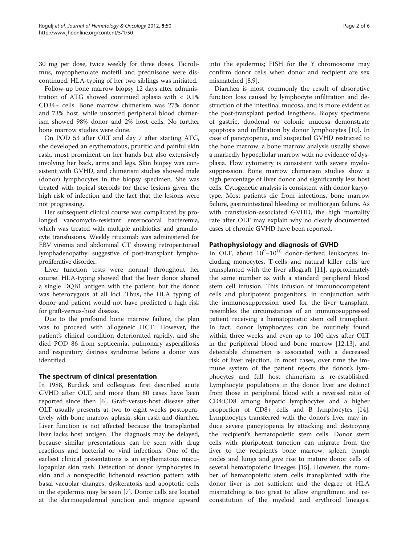30 mg per dose, twice weekly for three doses. Tacrolimus, mycophenolate mofetil and prednisone were discontinued. HLA-typing of her two siblings was initiated.

Follow-up bone marrow biopsy 12 days after administration of ATG showed continued aplasia with < 0.1% CD34+ cells. Bone marrow chimerism was 27% donor and 73% host, while unsorted peripheral blood chimerism showed 98% donor and 2% host cells. No further bone marrow studies were done.

On POD 53 after OLT and day 7 after starting ATG, she developed an erythematous, pruritic and painful skin rash, most prominent on her hands but also extensively involving her back, arms and legs. Skin biopsy was consistent with GVHD, and chimerism studies showed male (donor) lymphocytes in the biopsy specimen. She was treated with topical steroids for these lesions given the high risk of infection and the fact that the lesions were not progressing.

Her subsequent clinical course was complicated by prolonged vancomycin-resistant enterococcal bacteremia, which was treated with multiple antibiotics and granulocyte transfusions. Weekly rituximab was administered for EBV viremia and abdominal CT showing retroperitoneal lymphadenopathy, suggestive of post-transplant lymphoproliferative disorder.

Liver function tests were normal throughout her course. HLA-typing showed that the liver donor shared a single DQB1 antigen with the patient, but the donor was heterozygous at all loci. Thus, the HLA typing of donor and patient would not have predicted a high risk for graft-versus-host disease.

Due to the profound bone marrow failure, the plan was to proceed with allogeneic HCT. However, the patient's clinical condition deteriorated rapidly, and she died POD 86 from septicemia, pulmonary aspergillosis and respiratory distress syndrome before a donor was identified.

# The spectrum of clinical presentation

In 1988, Burdick and colleagues first described acute GVHD after OLT, and more than 80 cases have been reported since then [[6\]](#page-4-0). Graft-versus-host disease after OLT usually presents at two to eight weeks postoperatively with bone marrow aplasia, skin rash and diarrhea. Liver function is not affected because the transplanted liver lacks host antigen. The diagnosis may be delayed, because similar presentations can be seen with drug reactions and bacterial or viral infections. One of the earliest clinical presentations is an erythematous maculopapular skin rash. Detection of donor lymphocytes in skin and a nonspecific lichenoid reaction pattern with basal vacuolar changes, dyskeratosis and apoptotic cells in the epidermis may be seen [[7\]](#page-4-0). Donor cells are located at the dermoepidermal junction and migrate upward into the epidermis; FISH for the Y chromosome may confirm donor cells when donor and recipient are sex mismatched [\[8,9](#page-4-0)].

Diarrhea is most commonly the result of absorptive function loss caused by lymphocyte infiltration and destruction of the intestinal mucosa, and is more evident as the post-transplant period lengthens. Biopsy specimens of gastric, duodenal or colonic mucosa demonstrate apoptosis and infiltration by donor lymphocytes [\[10\]](#page-4-0). In case of pancytopenia, and suspected GVHD restricted to the bone marrow, a bone marrow analysis usually shows a markedly hypocellular marrow with no evidence of dysplasia. Flow cytometry is consistent with severe myelosuppression. Bone marrow chimerism studies show a high percentage of liver donor and significantly less host cells. Cytogenetic analysis is consistent with donor karyotype. Most patients die from infections, bone marrow failure, gastrointestinal bleeding or multiorgan failure. As with transfusion-associated GVHD, the high mortality rate after OLT may explain why no clearly documented cases of chronic GVHD have been reported.

# Pathophysiology and diagnosis of GVHD

In OLT, about  $10^9 - 10^{10}$  donor-derived leukocytes including monocytes, T-cells and natural killer cells are transplanted with the liver allograft [\[11](#page-4-0)], approximately the same number as with a standard peripheral blood stem cell infusion. This infusion of immunocompetent cells and pluripotent progenitors, in conjunction with the immunosuppression used for the liver transplant, resembles the circumstances of an immunosuppressed patient receiving a hematopoietic stem cell transplant. In fact, donor lymphocytes can be routinely found within three weeks and even up to 100 days after OLT in the peripheral blood and bone marrow [[12,13\]](#page-4-0), and detectable chimerism is associated with a decreased risk of liver rejection. In most cases, over time the immune system of the patient rejects the donor's lymphocytes and full host chimerism is re-established. Lymphocyte populations in the donor liver are distinct from those in peripheral blood with a reversed ratio of CD4:CD8 among hepatic lymphocytes and a higher proportion of CD8+ cells and B lymphocytes [\[14](#page-4-0)]. Lymphocytes transferred with the donor's liver may induce severe pancytopenia by attacking and destroying the recipient's hematopoietic stem cells. Donor stem cells with pluripotent function can migrate from the liver to the recipient's bone marrow, spleen, lymph nodes and lungs and give rise to mature donor cells of several hematopoietic lineages [[15\]](#page-4-0). However, the number of hematopoietic stem cells transplanted with the donor liver is not sufficient and the degree of HLA mismatching is too great to allow engraftment and reconstitution of the myeloid and erythroid lineages.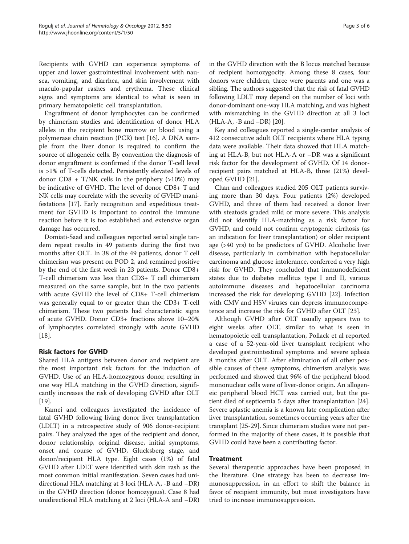Recipients with GVHD can experience symptoms of upper and lower gastrointestinal involvement with nausea, vomiting, and diarrhea, and skin involvement with maculo-papular rashes and erythema. These clinical signs and symptoms are identical to what is seen in primary hematopoietic cell transplantation.

Engraftment of donor lymphocytes can be confirmed by chimerism studies and identification of donor HLA alleles in the recipient bone marrow or blood using a polymerase chain reaction (PCR) test [[16\]](#page-4-0). A DNA sample from the liver donor is required to confirm the source of allogeneic cells. By convention the diagnosis of donor engraftment is confirmed if the donor T-cell level is >1% of T-cells detected. Persistently elevated levels of donor  $CD8 + T/NK$  cells in the periphery (>10%) may be indicative of GVHD. The level of donor CD8+ T and NK cells may correlate with the severity of GVHD manifestations [[17\]](#page-4-0). Early recognition and expeditious treatment for GVHD is important to control the immune reaction before it is too established and extensive organ damage has occurred.

Domiati-Saad and colleagues reported serial single tandem repeat results in 49 patients during the first two months after OLT. In 38 of the 49 patients, donor T cell chimerism was present on POD 2, and remained positive by the end of the first week in 23 patients. Donor CD8+ T-cell chimerism was less than CD3+ T cell chimerism measured on the same sample, but in the two patients with acute GVHD the level of CD8+ T-cell chimerism was generally equal to or greater than the CD3+ T-cell chimerism. These two patients had characteristic signs of acute GVHD. Donor CD3+ fractions above 10–20% of lymphocytes correlated strongly with acute GVHD [[18\]](#page-4-0).

# Risk factors for GVHD

Shared HLA antigens between donor and recipient are the most important risk factors for the induction of GVHD. Use of an HLA-homozygous donor, resulting in one way HLA matching in the GVHD direction, significantly increases the risk of developing GVHD after OLT [[19\]](#page-4-0).

Kamei and colleagues investigated the incidence of fatal GVHD following living donor liver transplantation (LDLT) in a retrospective study of 906 donor-recipient pairs. They analyzed the ages of the recipient and donor, donor relationship, original disease, initial symptoms, onset and course of GVHD, Glucksberg stage, and donor/recipient HLA type. Eight cases (1%) of fatal GVHD after LDLT were identified with skin rash as the most common initial manifestation. Seven cases had unidirectional HLA matching at 3 loci (HLA-A, -B and –DR) in the GVHD direction (donor homozygous). Case 8 had unidirectional HLA matching at 2 loci (HLA-A and –DR)

in the GVHD direction with the B locus matched because of recipient homozygocity. Among these 8 cases, four donors were children, three were parents and one was a sibling. The authors suggested that the risk of fatal GVHD following LDLT may depend on the number of loci with donor-dominant one-way HLA matching, and was highest with mismatching in the GVHD direction at all 3 loci (HLA-A, -B and –DR) [\[20\]](#page-4-0).

Key and colleagues reported a single-center analysis of 412 consecutive adult OLT recipients where HLA typing data were available. Their data showed that HLA matching at HLA-B, but not HLA-A or –DR was a significant risk factor for the development of GVHD. Of 14 donorrecipient pairs matched at HLA-B, three (21%) developed GVHD [[21](#page-4-0)].

Chan and colleagues studied 205 OLT patients surviving more than 30 days. Four patients (2%) developed GVHD, and three of them had received a donor liver with steatosis graded mild or more severe. This analysis did not identify HLA-matching as a risk factor for GVHD, and could not confirm cryptogenic cirrhosis (as an indication for liver transplantation) or older recipient age (>40 yrs) to be predictors of GVHD. Alcoholic liver disease, particularly in combination with hepatocellular carcinoma and glucose intolerance, conferred a very high risk for GVHD. They concluded that immunodeficient states due to diabetes mellitus type I and II, various autoimmune diseases and hepatocellular carcinoma increased the risk for developing GVHD [[22\]](#page-4-0). Infection with CMV and HSV viruses can depress immunocompetence and increase the risk for GVHD after OLT [\[23\]](#page-4-0).

Although GVHD after OLT usually appears two to eight weeks after OLT, similar to what is seen in hematopoietic cell transplantation, Pollack et al reported a case of a 52-year-old liver transplant recipient who developed gastrointestinal symptoms and severe aplasia 8 months after OLT. After elimination of all other possible causes of these symptoms, chimerism analysis was performed and showed that 96% of the peripheral blood mononuclear cells were of liver-donor origin. An allogeneic peripheral blood HCT was carried out, but the patient died of septicemia 5 days after transplantation [\[24](#page-5-0)]. Severe aplastic anemia is a known late complication after liver transplantation, sometimes occurring years after the transplant [[25-29\]](#page-5-0). Since chimerism studies were not performed in the majority of these cases, it is possible that GVHD could have been a contributing factor.

# Treatment

Several therapeutic approaches have been proposed in the literature. One strategy has been to decrease immunosuppression, in an effort to shift the balance in favor of recipient immunity, but most investigators have tried to increase immunosuppression.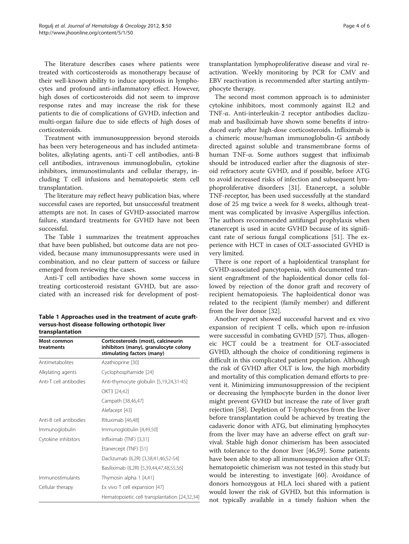The literature describes cases where patients were treated with corticosteroids as monotherapy because of their well-known ability to induce apoptosis in lymphocytes and profound anti-inflammatory effect. However, high doses of corticosteroids did not seem to improve response rates and may increase the risk for these patients to die of complications of GVHD, infection and multi-organ failure due to side effects of high doses of corticosteroids.

Treatment with immunosuppression beyond steroids has been very heterogeneous and has included antimetabolites, alkylating agents, anti-T cell antibodies, anti-B cell antibodies, intravenous immunoglobulin, cytokine inhibitors, immunostimulants and cellular therapy, including T cell infusions and hematopoietic stem cell transplantation.

The literature may reflect heavy publication bias, where successful cases are reported, but unsuccessful treatment attempts are not. In cases of GVHD-associated marrow failure, standard treatments for GVHD have not been successful.

The Table 1 summarizes the treatment approaches that have been published, but outcome data are not provided, because many immunosuppressants were used in combination, and no clear pattern of success or failure emerged from reviewing the cases.

Anti-T cell antibodies have shown some success in treating corticosteroid resistant GVHD, but are associated with an increased risk for development of post-

Table 1 Approaches used in the treatment of acute graftversus-host disease following orthotopic liver transplantation

| Most common<br>treatments | Corticosteroids (most), calcineurin<br>inhibitors (many), granulocyte colony<br>stimulating factors (many) |
|---------------------------|------------------------------------------------------------------------------------------------------------|
| Antimetabolites           | Azathioprine [30]                                                                                          |
| Alkylating agents         | Cyclophosphamide [24]                                                                                      |
| Anti-T cell antibodies    | Anti-thymocyte globulin [5,19,24,31-45]                                                                    |
|                           | OKT3 [24.42]                                                                                               |
|                           | Campath [38,46,47]                                                                                         |
|                           | Alefacept [43]                                                                                             |
| Anti-B cell antibodies    | Rituximab [46,48]                                                                                          |
| Immunoglobulin            | Immunoglobulin [4,49,50]                                                                                   |
| Cytokine inhibitors       | Infliximab (TNF) [3,31]                                                                                    |
|                           | Etanercept (TNF) [51]                                                                                      |
|                           | Daclizumab (IL2R) [3,38,41,46,52-54]                                                                       |
|                           | Basiliximab (IL2R) [5,39,44,47,48,55,56]                                                                   |
| Immunostimulants          | Thymosin alpha 1 [4,41]                                                                                    |
| Cellular therapy          | Ex vivo T cell expansion [47]                                                                              |
|                           | Hematopoietic cell transplantation [24,32,34]                                                              |

transplantation lymphoproliferative disease and viral reactivation. Weekly monitoring by PCR for CMV and EBV reactivation is recommended after starting antilymphocyte therapy.

The second most common approach is to administer cytokine inhibitors, most commonly against IL2 and TNF-α. Anti-interleukin-2 receptor antibodies daclizumab and basiliximab have shown some benefits if introduced early after high-dose corticosteroids. Infliximab is a chimeric mouse/human immunoglobulin-G antibody directed against soluble and transmembrane forms of human TNF-α. Some authors suggest that infliximab should be introduced earlier after the diagnosis of steroid refractory acute GVHD, and if possible, before ATG to avoid increased risks of infection and subsequent lymphoproliferative disorders [[31](#page-5-0)]. Etanercept, a soluble TNF-receptor, has been used successfully at the standard dose of 25 mg twice a week for 8 weeks, although treatment was complicated by invasive Aspergillus infection. The authors recommended antifungal prophylaxis when etanercept is used in acute GVHD because of its significant rate of serious fungal complications [[51\]](#page-5-0). The experience with HCT in cases of OLT-associated GVHD is very limited.

There is one report of a haploidentical transplant for GVHD-associated pancytopenia, with documented transient engraftment of the haploidentical donor cells followed by rejection of the donor graft and recovery of recipient hematopoiesis. The haploidentical donor was related to the recipient (family member) and different from the liver donor [[32](#page-5-0)].

Another report showed successful harvest and ex vivo expansion of recipient T cells, which upon re-infusion were successful in combating GVHD [[57\]](#page-5-0). Thus, allogeneic HCT could be a treatment for OLT-associated GVHD, although the choice of conditioning regimens is difficult in this complicated patient population. Although the risk of GVHD after OLT is low, the high morbidity and mortality of this complication demand efforts to prevent it. Minimizing immunosuppression of the recipient or decreasing the lymphocyte burden in the donor liver might prevent GVHD but increase the rate of liver graft rejection [[58](#page-5-0)]. Depletion of T-lymphocytes from the liver before transplantation could be achieved by treating the cadaveric donor with ATG, but eliminating lymphocytes from the liver may have an adverse effect on graft survival. Stable high donor chimerism has been associated with tolerance to the donor liver [\[46,59\]](#page-5-0). Some patients have been able to stop all immunosuppression after OLT; hematopoietic chimerism was not tested in this study but would be interesting to investigate [[60](#page-5-0)]. Avoidance of donors homozygous at HLA loci shared with a patient would lower the risk of GVHD, but this information is not typically available in a timely fashion when the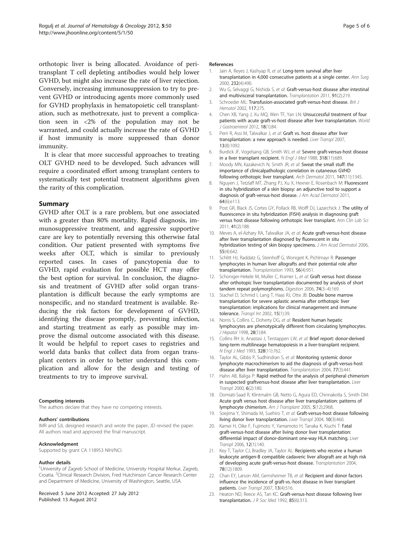<span id="page-4-0"></span>orthotopic liver is being allocated. Avoidance of peritransplant T cell depleting antibodies would help lower GVHD, but might also increase the rate of liver rejection. Conversely, increasing immunosuppression to try to prevent GVHD or introducing agents more commonly used for GVHD prophylaxis in hematopoietic cell transplantation, such as methotrexate, just to prevent a complication seen in <2% of the population may not be warranted, and could actually increase the rate of GVHD if host immunity is more suppressed than donor immunity.

It is clear that more successful approaches to treating OLT GVHD need to be developed. Such advances will require a coordinated effort among transplant centers to systematically test potential treatment algorithms given the rarity of this complication.

## Summary

GVHD after OLT is a rare problem, but one associated with a greater than 80% mortality. Rapid diagnosis, immunosuppressive treatment, and aggressive supportive care are key to potentially reversing this otherwise fatal condition. Our patient presented with symptoms five weeks after OLT, which is similar to previously reported cases. In cases of pancytopenia due to GVHD, rapid evaluation for possible HCT may offer the best option for survival. In conclusion, the diagnosis and treatment of GVHD after solid organ transplantation is difficult because the early symptoms are nonspecific, and no standard treatment is available. Reducing the risk factors for development of GVHD, identifying the disease promptly, preventing infection, and starting treatment as early as possible may improve the dismal outcome associated with this disease. It would be helpful to report cases to registries and world data banks that collect data from organ transplant centers in order to better understand this complication and allow for the design and testing of treatments to try to improve survival.

#### Competing interests

The authors declare that they have no competing interests.

#### Authors' contributions

IMR and SJL designed research and wrote the paper, JD revised the paper. All authors read and approved the final manuscript.

#### Acknowledgment

Supported by grant CA 118953 NIH/NCI.

#### Author details

<sup>1</sup>University of Zagreb School of Medicine, University Hospital Merkur, Zagreb, Croatia. <sup>2</sup>Clinical Research Division, Fred Hutchinson Cancer Research Center and Department of Medicine, University of Washington, Seattle, USA.

#### Received: 5 June 2012 Accepted: 27 July 2012 Published: 13 August 2012

#### References

- 1. Jain A, Reyes J, Kashyap R, et al: Long-term survival after liver transplantation in 4,000 consecutive patients at a single center. Ann Surg 2000, 232(4):490.
- 2. Wu G, Selvaggi G, Nishida S, et al: Graft-versus-host disease after intestinal and multivisceral transplantation. Transplantation 2011, 91(2):219.
- 3. Schroeder ML: Transfusion-associated graft-versus-host disease. Brit J Hematol 2002, 117:275.
- 4. Chen XB, Yang J, Xu MQ, Wen TF, Yan LN: Unsuccessful treatment of four patients with acute graft-vs-host disease after liver transplantation. World J Gastroenterol 2012, 18(1):84.
- 5. Perri R, Assi M, Talwalkar J, et al: Graft vs. host disease after liver transplantation: a new approach is needed. Liver Transpl 2007, 13(8):1092.
- 6. Burdick JF, Vogelsang GB, Smith WJ, et al: Severe graft-versus-host disease in a liver transplant recipient. N Engl J Med 1988, 318(11):689.
- 7. Moody MN, Kazakevich N, Smith JR, et al: Sweat the small stuff: the importance of clinicalpathologic correlation in cutaneous GVHD following orthotopic liver transplant. Arch Dermatol 2011, 147(11):1345.
- 8. Nguyen J, Tetzlaff MT, Zhang PJ, Xu X, Hexner E, Rosenbach M: Fluorescent in situ hybridization of a skin biopsy: an adjunctive tool to support a diagnosis of graft-versus-host disease. J Am Acad Dermatol 2011, 64(6):e113.
- 9. Post GR, Black JS, Cortes GY, Pollack RB, Wolff DJ, Lazarchick J: The utility of fluorescence in situ hybridization (FISH) analysis in diagnosing graft versus host disease following orthotopic liver transplant. Ann Clin Lab Sci 2011, 41(2):188.
- 10. Meves A, el-Azhary RA, Talwalkar JA, et al: Acute graft-versus-host disease after liver transplantation diagnosed by fluorescent in situ hybridization testing of skin biopsy specimens. J Am Acad Dermatol 2006, 55(4):642.
- 11. Schlitt HJ, Raddatz G, Steinhoff G, Wonigeit K, Pichlmayr R: Passenger lymphocytes in human liver allografts and their potential role after transplantation. Transplantation 1993, 56(4):951.
- 12. Schoniger-Hekele M, Muller C, Kramer L, et al: Graft versus host disease after orthotopic liver transplantation documented by analysis of short tandem repeat polymorphisms. Digestion 2006, 74(3–4):169.
- 13. Stachel D, Schmid I, Lang T, Haas RJ, Otte JB: Double bone marrow transplantation for severe aplastic anemia after orthotopic liver transplantation: implications for clinical management and immune tolerance. Transpl Int 2002, 15(1):39.
- 14. Norris S, Collins C, Doherty DG, et al: Resident human hepatic lymphocytes are phenotypically different from circulating lymphocytes. J Hepatol 1998, 28(1):84.
- 15. Collins RH Jr, Anastasi J, Terstappen LW, et al: Brief report: donor-derived long-term multilineage hematopoiesis in a liver-transplant recipient. N Engl J Med 1993, 328(11):762.
- 16. Taylor AL, Gibbs P, Sudhindran S, et al: Monitoring systemic donor lymphocyte macrochimerism to aid the diagnosis of graft-versus-host disease after liver transplantation. Transplantation 2004, 77(3):441.
- 17. Hahn AB, Baliga P: Rapid method for the analysis of peripheral chimerism in suspected graftversus-host disease after liver transplantation. Liver Transpl 2000, 6(2):180.
- 18. Domiati-Saad R, Klintmalm GB, Netto G, Agura ED, Chinnakotla S, Smith DM: Acute graft versus host disease after liver transplantation: patterns of lymphocyte chimerism. Am J Transplant 2005, 5(12):2968.
- 19. Soejima Y, Shimada M, Suehiro T, et al: Graft-versus-host disease following living donor liver transplantation. Liver Transpl 2004, 10(3):460.
- 20. Kamei H, Oike F, Fujimoto Y, Yamamoto H, Tanaka K, Kiuchi T: Fatal graft-versus-host disease after living donor liver transplantation: differential impact of donor-dominant one-way HLA matching. Liver Transpl 2006, 12(1):140.
- 21. Key T, Taylor CJ, Bradley JA, Taylor AL: Recipients who receive a human leukocyte antigen-B compatible cadaveric liver allograft are at high risk of developing acute graft-versus-host disease. Transplantation 2004, 78(12):1809.
- 22. Chan EY, Larson AM, Gernsheimer TB, et al: Recipient and donor factors influence the incidence of graft-vs.-host disease in liver transplant patients. Liver Transpl 2007, 13(4):516.
- 23. Heaton ND, Reece AS, Tan KC: Graft-versus-host disease following liver transplantation. J R Soc Med 1992, 85(6):313.